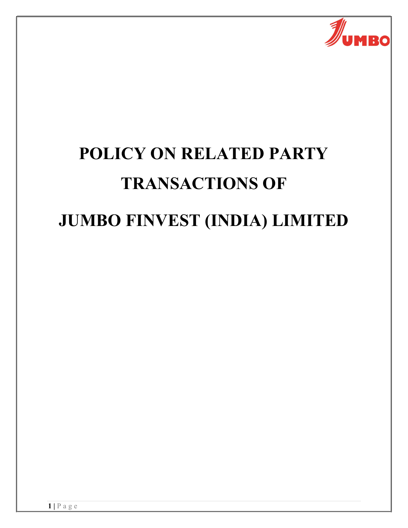

# POLICY ON RELATED PARTY TRANSACTIONS OF JUMBO FINVEST (INDIA) LIMITED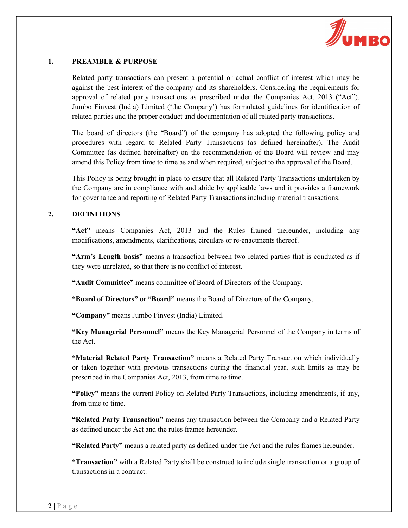

# 1. PREAMBLE & PURPOSE

Related party transactions can present a potential or actual conflict of interest which may be against the best interest of the company and its shareholders. Considering the requirements for approval of related party transactions as prescribed under the Companies Act, 2013 ("Act"), Jumbo Finvest (India) Limited ('the Company') has formulated guidelines for identification of related parties and the proper conduct and documentation of all related party transactions.

The board of directors (the "Board") of the company has adopted the following policy and procedures with regard to Related Party Transactions (as defined hereinafter). The Audit Committee (as defined hereinafter) on the recommendation of the Board will review and may amend this Policy from time to time as and when required, subject to the approval of the Board.

This Policy is being brought in place to ensure that all Related Party Transactions undertaken by the Company are in compliance with and abide by applicable laws and it provides a framework for governance and reporting of Related Party Transactions including material transactions.

## 2. DEFINITIONS

"Act" means Companies Act, 2013 and the Rules framed thereunder, including any modifications, amendments, clarifications, circulars or re-enactments thereof.

"Arm's Length basis" means a transaction between two related parties that is conducted as if they were unrelated, so that there is no conflict of interest.

"Audit Committee" means committee of Board of Directors of the Company.

"Board of Directors" or "Board" means the Board of Directors of the Company.

"Company" means Jumbo Finvest (India) Limited.

"Key Managerial Personnel" means the Key Managerial Personnel of the Company in terms of the Act.

"Material Related Party Transaction" means a Related Party Transaction which individually or taken together with previous transactions during the financial year, such limits as may be prescribed in the Companies Act, 2013, from time to time.

"Policy" means the current Policy on Related Party Transactions, including amendments, if any, from time to time.

"Related Party Transaction" means any transaction between the Company and a Related Party as defined under the Act and the rules frames hereunder.

"Related Party" means a related party as defined under the Act and the rules frames hereunder.

"Transaction" with a Related Party shall be construed to include single transaction or a group of transactions in a contract.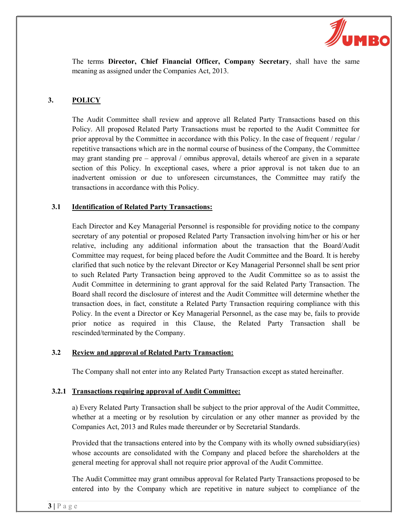

The terms Director, Chief Financial Officer, Company Secretary, shall have the same meaning as assigned under the Companies Act, 2013.

# 3. POLICY

The Audit Committee shall review and approve all Related Party Transactions based on this Policy. All proposed Related Party Transactions must be reported to the Audit Committee for prior approval by the Committee in accordance with this Policy. In the case of frequent / regular / repetitive transactions which are in the normal course of business of the Company, the Committee may grant standing pre – approval / omnibus approval, details whereof are given in a separate section of this Policy. In exceptional cases, where a prior approval is not taken due to an inadvertent omission or due to unforeseen circumstances, the Committee may ratify the transactions in accordance with this Policy.

## 3.1 Identification of Related Party Transactions:

Each Director and Key Managerial Personnel is responsible for providing notice to the company secretary of any potential or proposed Related Party Transaction involving him/her or his or her relative, including any additional information about the transaction that the Board/Audit Committee may request, for being placed before the Audit Committee and the Board. It is hereby clarified that such notice by the relevant Director or Key Managerial Personnel shall be sent prior to such Related Party Transaction being approved to the Audit Committee so as to assist the Audit Committee in determining to grant approval for the said Related Party Transaction. The Board shall record the disclosure of interest and the Audit Committee will determine whether the transaction does, in fact, constitute a Related Party Transaction requiring compliance with this Policy. In the event a Director or Key Managerial Personnel, as the case may be, fails to provide prior notice as required in this Clause, the Related Party Transaction shall be rescinded/terminated by the Company.

#### 3.2 Review and approval of Related Party Transaction:

The Company shall not enter into any Related Party Transaction except as stated hereinafter.

#### 3.2.1 Transactions requiring approval of Audit Committee:

a) Every Related Party Transaction shall be subject to the prior approval of the Audit Committee, whether at a meeting or by resolution by circulation or any other manner as provided by the Companies Act, 2013 and Rules made thereunder or by Secretarial Standards.

Provided that the transactions entered into by the Company with its wholly owned subsidiary(ies) whose accounts are consolidated with the Company and placed before the shareholders at the general meeting for approval shall not require prior approval of the Audit Committee.

The Audit Committee may grant omnibus approval for Related Party Transactions proposed to be entered into by the Company which are repetitive in nature subject to compliance of the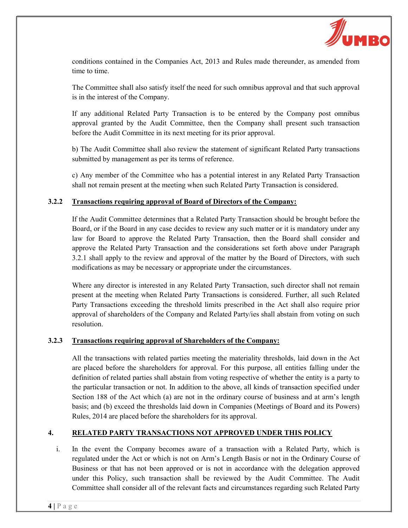

conditions contained in the Companies Act, 2013 and Rules made thereunder, as amended from time to time.

The Committee shall also satisfy itself the need for such omnibus approval and that such approval is in the interest of the Company.

If any additional Related Party Transaction is to be entered by the Company post omnibus approval granted by the Audit Committee, then the Company shall present such transaction before the Audit Committee in its next meeting for its prior approval.

b) The Audit Committee shall also review the statement of significant Related Party transactions submitted by management as per its terms of reference.

c) Any member of the Committee who has a potential interest in any Related Party Transaction shall not remain present at the meeting when such Related Party Transaction is considered.

## 3.2.2 Transactions requiring approval of Board of Directors of the Company:

If the Audit Committee determines that a Related Party Transaction should be brought before the Board, or if the Board in any case decides to review any such matter or it is mandatory under any law for Board to approve the Related Party Transaction, then the Board shall consider and approve the Related Party Transaction and the considerations set forth above under Paragraph 3.2.1 shall apply to the review and approval of the matter by the Board of Directors, with such modifications as may be necessary or appropriate under the circumstances.

Where any director is interested in any Related Party Transaction, such director shall not remain present at the meeting when Related Party Transactions is considered. Further, all such Related Party Transactions exceeding the threshold limits prescribed in the Act shall also require prior approval of shareholders of the Company and Related Party/ies shall abstain from voting on such resolution.

#### 3.2.3 Transactions requiring approval of Shareholders of the Company:

All the transactions with related parties meeting the materiality thresholds, laid down in the Act are placed before the shareholders for approval. For this purpose, all entities falling under the definition of related parties shall abstain from voting respective of whether the entity is a party to the particular transaction or not. In addition to the above, all kinds of transaction specified under Section 188 of the Act which (a) are not in the ordinary course of business and at arm's length basis; and (b) exceed the thresholds laid down in Companies (Meetings of Board and its Powers) Rules, 2014 are placed before the shareholders for its approval.

# 4. RELATED PARTY TRANSACTIONS NOT APPROVED UNDER THIS POLICY

i. In the event the Company becomes aware of a transaction with a Related Party, which is regulated under the Act or which is not on Arm's Length Basis or not in the Ordinary Course of Business or that has not been approved or is not in accordance with the delegation approved under this Policy, such transaction shall be reviewed by the Audit Committee. The Audit Committee shall consider all of the relevant facts and circumstances regarding such Related Party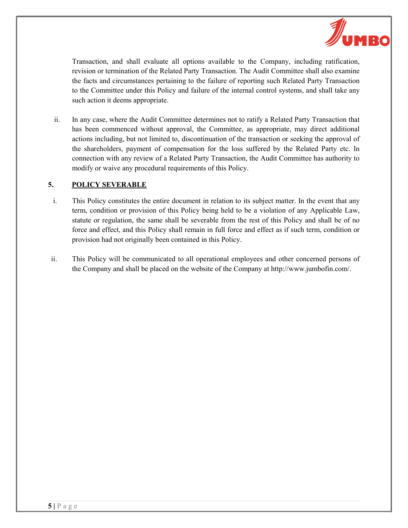

Transaction, and shall evaluate all options available to the Company, including ratification, revision or termination of the Related Party Transaction. The Audit Committee shall also examine the facts and circumstances pertaining to the failure of reporting such Related Party Transaction to the Committee under this Policy and failure of the internal control systems, and shall take any such action it deems appropriate.

ii. In any case, where the Audit Committee determines not to ratify a Related Party Transaction that has been commenced without approval, the Committee, as appropriate, may direct additional actions including, but not limited to, discontinuation of the transaction or seeking the approval of the shareholders, payment of compensation for the loss suffered by the Related Party etc. In connection with any review of a Related Party Transaction, the Audit Committee has authority to modify or waive any procedural requirements of this Policy.

## 5. POLICY SEVERABLE

- i. This Policy constitutes the entire document in relation to its subject matter. In the event that any term, condition or provision of this Policy being held to be a violation of any Applicable Law, statute or regulation, the same shall be severable from the rest of this Policy and shall be of no force and effect, and this Policy shall remain in full force and effect as if such term, condition or provision had not originally been contained in this Policy.
- ii. This Policy will be communicated to all operational employees and other concerned persons of the Company and shall be placed on the website of the Company at http://www.jumbofin.com/.